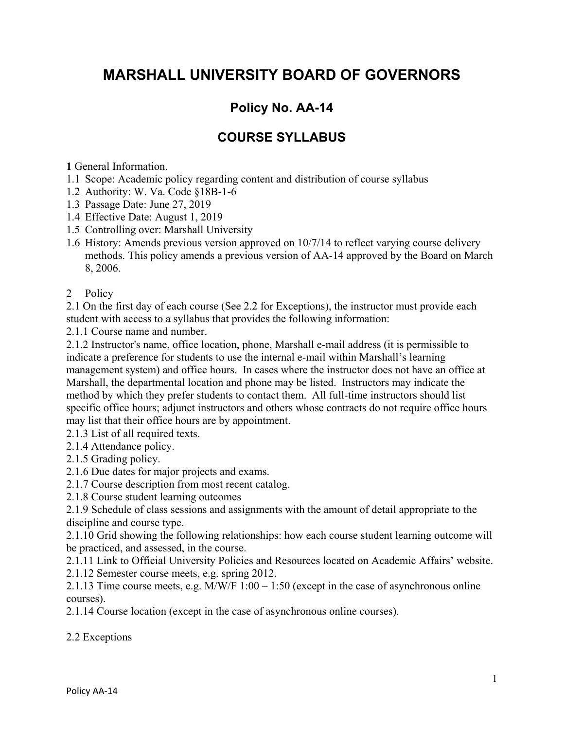## **MARSHALL UNIVERSITY BOARD OF GOVERNORS**

## **Policy No. AA-14**

## **COURSE SYLLABUS**

**1** General Information.

- 1.1 Scope: Academic policy regarding content and distribution of course syllabus
- 1.2 Authority: W. Va. Code §18B-1-6
- 1.3 Passage Date: June 27, 2019
- 1.4 Effective Date: August 1, 2019
- 1.5 Controlling over: Marshall University
- 1.6 History: Amends previous version approved on 10/7/14 to reflect varying course delivery methods. This policy amends a previous version of AA-14 approved by the Board on March 8, 2006.
- 2 Policy

2.1 On the first day of each course (See 2.2 for Exceptions), the instructor must provide each student with access to a syllabus that provides the following information:

2.1.1 Course name and number.

2.1.2 Instructor's name, office location, phone, Marshall e-mail address (it is permissible to indicate a preference for students to use the internal e-mail within Marshall's learning management system) and office hours. In cases where the instructor does not have an office at Marshall, the departmental location and phone may be listed. Instructors may indicate the method by which they prefer students to contact them. All full-time instructors should list specific office hours; adjunct instructors and others whose contracts do not require office hours may list that their office hours are by appointment.

2.1.3 List of all required texts.

- 2.1.4 Attendance policy.
- 2.1.5 Grading policy.
- 2.1.6 Due dates for major projects and exams.
- 2.1.7 Course description from most recent catalog.
- 2.1.8 Course student learning outcomes

2.1.9 Schedule of class sessions and assignments with the amount of detail appropriate to the discipline and course type.

2.1.10 Grid showing the following relationships: how each course student learning outcome will be practiced, and assessed, in the course.

2.1.11 Link to Official University Policies and Resources located on Academic Affairs' website.

2.1.12 Semester course meets, e.g. spring 2012.

2.1.13 Time course meets, e.g. M/W/F 1:00 – 1:50 (except in the case of asynchronous online courses).

2.1.14 Course location (except in the case of asynchronous online courses).

2.2 Exceptions